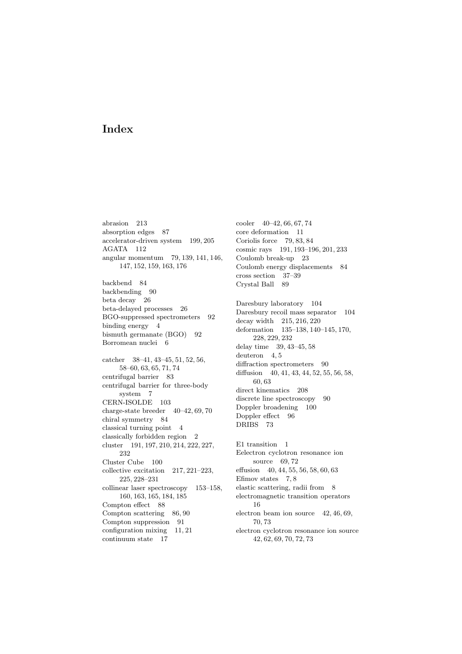abrasion 213 absorption edges 87 accelerator-driven system 199, 205 AGATA 112 angular momentum 79, 139, 141, 146, 147, 152, 159, 163, 176

backbend 84 backbending 90 beta decay 26 beta-delayed processes 26 BGO-suppressed spectrometers 92 binding energy 4 bismuth germanate (BGO) 92 Borromean nuclei 6

catcher 38–41, 43–45, 51, 52, 56, 58–60, 63, 65, 71, 74 centrifugal barrier 83 centrifugal barrier for three-body system 7 CERN-ISOLDE 103 charge-state breeder 40–42, 69, 70 chiral symmetry 84 classical turning point 4 classically forbidden region 2 cluster 191, 197, 210, 214, 222, 227, 232 Cluster Cube 100 collective excitation 217, 221–223, 225, 228–231 collinear laser spectroscopy 153–158, 160, 163, 165, 184, 185 Compton effect 88 Compton scattering 86, 90 Compton suppression 91 configuration mixing 11, 21 continuum state 17

cooler 40–42, 66, 67, 74 core deformation 11 Coriolis force 79, 83, 84 cosmic rays 191, 193–196, 201, 233 Coulomb break-up 23 Coulomb energy displacements 84 cross section 37–39 Crystal Ball 89

Daresbury laboratory 104 Daresbury recoil mass separator 104 decay width 215, 216, 220 deformation 135–138, 140–145, 170, 228, 229, 232 delay time 39, 43–45, 58 deuteron 4.5 diffraction spectrometers 90 diffusion 40, 41, 43, 44, 52, 55, 56, 58, 60, 63 direct kinematics 208 discrete line spectroscopy 90 Doppler broadening 100 Doppler effect 96 DRIBS 73

E1 transition 1 Eelectron cyclotron resonance ion source 69, 72 effusion 40, 44, 55, 56, 58, 60, 63 Efimov states  $7, 8$ elastic scattering, radii from 8 electromagnetic transition operators 16 electron beam ion source 42, 46, 69, 70, 73 electron cyclotron resonance ion source 42, 62, 69, 70, 72, 73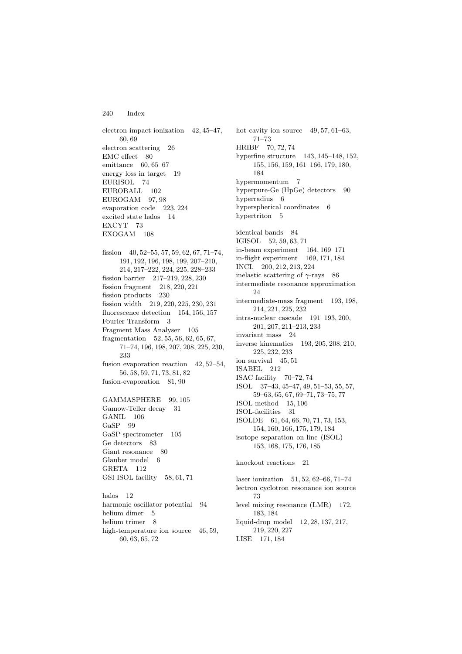electron impact ionization 42, 45–47, 60, 69 electron scattering 26 EMC effect 80 emittance 60, 65–67 energy loss in target 19 EURISOL 74 EUROBALL 102 EUROGAM 97, 98 evaporation code 223, 224 excited state halos 14 EXCYT 73 EXOGAM 108 fission 40, 52–55, 57, 59, 62, 67, 71–74, 191, 192, 196, 198, 199, 207–210, 214, 217–222, 224, 225, 228–233 fission barrier 217–219, 228, 230 fission fragment 218, 220, 221 fission products 230 fission width 219, 220, 225, 230, 231 fluorescence detection 154, 156, 157 Fourier Transform 3 Fragment Mass Analyser 105 fragmentation 52, 55, 56, 62, 65, 67, 71–74, 196, 198, 207, 208, 225, 230, 233 fusion evaporation reaction 42, 52–54. 56, 58, 59, 71, 73, 81, 82 fusion-evaporation 81, 90 GAMMASPHERE 99, 105 Gamow-Teller decay 31 GANIL 106 GaSP 99 GaSP spectrometer 105 Ge detectors 83 Giant resonance 80 Glauber model 6 GRETA 112 GSI ISOL facility 58, 61, 71 halos 12 harmonic oscillator potential 94 helium dimer 5 helium trimer 8

high-temperature ion source 46, 59,

60, 63, 65, 72

hot cavity ion source  $49, 57, 61-63,$ 71–73 HRIBF 70, 72, 74 hyperfine structure 143, 145–148, 152, 155, 156, 159, 161–166, 179, 180, 184 hypermomentum 7 hyperpure-Ge (HpGe) detectors 90 hyperradius 6 hyperspherical coordinates 6 hypertriton 5 identical bands 84 IGISOL 52, 59, 63, 71 in-beam experiment 164, 169–171 in-flight experiment 169, 171, 184 INCL 200, 212, 213, 224 inelastic scattering of  $\gamma\text{-rays}$  86 intermediate resonance approximation 24 intermediate-mass fragment 193, 198, 214, 221, 225, 232 intra-nuclear cascade 191–193, 200, 201, 207, 211–213, 233 invariant mass 24 inverse kinematics 193, 205, 208, 210, 225, 232, 233 ion survival 45, 51 ISABEL 212 ISAC facility 70–72, 74 ISOL 37–43, 45–47, 49, 51–53, 55, 57, 59–63, 65, 67, 69–71, 73–75, 77 ISOL method 15, 106 ISOL-facilities 31 ISOLDE 61, 64, 66, 70, 71, 73, 153, 154, 160, 166, 175, 179, 184 isotope separation on-line (ISOL) 153, 168, 175, 176, 185 knockout reactions 21 laser ionization 51, 52, 62–66, 71–74 lectron cyclotron resonance ion source 73 level mixing resonance (LMR) 172, 183, 184 liquid-drop model 12, 28, 137, 217, 219, 220, 227

LISE 171, 184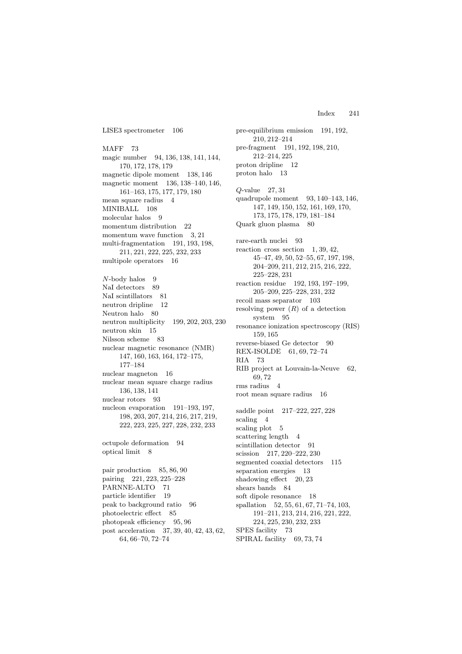LISE3 spectrometer 106

MAFF 73 magic number 94, 136, 138, 141, 144, 170, 172, 178, 179 magnetic dipole moment 138, 146 magnetic moment 136, 138–140, 146, 161–163, 175, 177, 179, 180 mean square radius 4 MINIBALL 108 molecular halos 9 momentum distribution 22 momentum wave function 3, 21 multi-fragmentation 191, 193, 198, 211, 221, 222, 225, 232, 233 multipole operators 16  $N$ -body halos 9 NaI detectors 89 NaI scintillators 81 neutron dripline 12 Neutron halo 80 neutron multiplicity 199, 202, 203, 230 neutron skin 15 Nilsson scheme 83 nuclear magnetic resonance (NMR) 147, 160, 163, 164, 172–175, 177–184 nuclear magneton 16 nuclear mean square charge radius 136, 138, 141 nuclear rotors 93 nucleon evaporation 191–193, 197, 198, 203, 207, 214, 216, 217, 219, 222, 223, 225, 227, 228, 232, 233 octupole deformation 94 optical limit  $8$ 

pair production 85, 86, 90 pairing 221, 223, 225–228 PARNNE-ALTO 71 particle identifier 19 peak to background ratio 96 photoelectric effect 85 photopeak efficiency 95, 96 post acceleration 37, 39, 40, 42, 43, 62, 64, 66–70, 72–74

pre-equilibrium emission 191, 192, 210, 212–214 pre-fragment 191, 192, 198, 210, 212–214, 225 proton dripline 12 proton halo 13 Q-value 27, 31 quadrupole moment 93, 140–143, 146, 147, 149, 150, 152, 161, 169, 170, 173, 175, 178, 179, 181–184 Quark gluon plasma 80 rare-earth nuclei 93 reaction cross section  $1, 39, 42,$ 45–47, 49, 50, 52–55, 67, 197, 198, 204–209, 211, 212, 215, 216, 222, 225–228, 231 reaction residue 192, 193, 197–199, 205–209, 225–228, 231, 232 recoil mass separator 103 resolving power  $(R)$  of a detection system 95 resonance ionization spectroscopy (RIS) 159, 165 reverse-biased Ge detector 90 REX-ISOLDE 61, 69, 72–74 RIA 73 RIB project at Louvain-la-Neuve 62, 69, 72 rms radius 4 root mean square radius 16 saddle point 217–222, 227, 228 scaling 4 scaling plot 5 scattering length 4 scintillation detector 91 scission 217, 220–222, 230 segmented coaxial detectors 115 separation energies 13 shadowing effect 20, 23 shears bands 84 soft dipole resonance 18 spallation 52, 55, 61, 67, 71–74, 103, 191–211, 213, 214, 216, 221, 222, 224, 225, 230, 232, 233 SPES facility 73 SPIRAL facility 69, 73, 74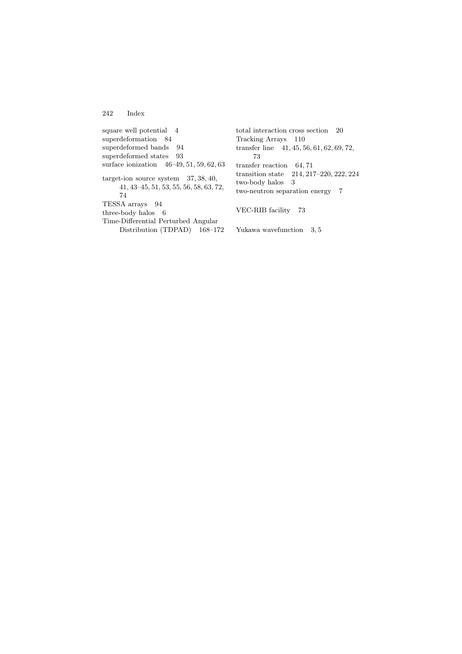square well potential 4 superdeformation 84 superdeformed bands 94 superdeformed states 93 surface ionization 46–49, 51, 59, 62, 63 target-ion source system 37, 38, 40, 41, 43–45, 51, 53, 55, 56, 58, 63, 72, 74 TESSA arrays 94 three-body halos 6 Time-Differential Perturbed Angular Distribution (TDPAD) 168–172

total interaction cross section 20 Tracking Arrays 110 transfer line 41, 45, 56, 61, 62, 69, 72, 73 transfer reaction 64, 71 transition state 214, 217–220, 222, 224 two-body halos 3 two-neutron separation energy 7

VEC-RIB facility 73

Yukawa wavefunction 3, 5